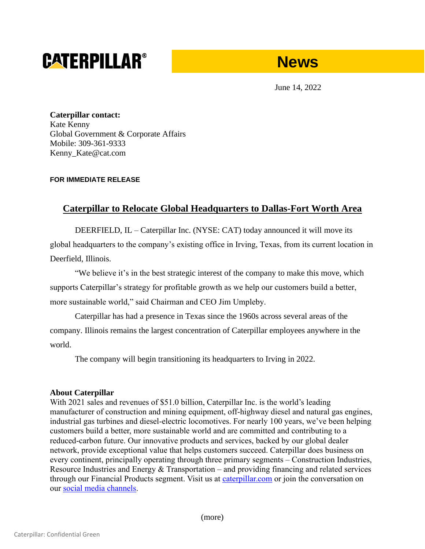# **CATERPILLAR®**



June 14, 2022

**Caterpillar contact:** Kate Kenny Global Government & Corporate Affairs Mobile: 309-361-9333 Kenny Kate@cat.com

## **FOR IMMEDIATE RELEASE**

# **Caterpillar to Relocate Global Headquarters to Dallas-Fort Worth Area**

DEERFIELD, IL – Caterpillar Inc. (NYSE: CAT) today announced it will move its global headquarters to the company's existing office in Irving, Texas, from its current location in Deerfield, Illinois.

"We believe it's in the best strategic interest of the company to make this move, which supports Caterpillar's strategy for profitable growth as we help our customers build a better, more sustainable world," said Chairman and CEO Jim Umpleby.

Caterpillar has had a presence in Texas since the 1960s across several areas of the company. Illinois remains the largest concentration of Caterpillar employees anywhere in the world.

The company will begin transitioning its headquarters to Irving in 2022.

### **About Caterpillar**

With 2021 sales and revenues of \$51.0 billion, Caterpillar Inc. is the world's leading manufacturer of construction and mining equipment, off-highway diesel and natural gas engines, industrial gas turbines and diesel-electric locomotives. For nearly 100 years, we've been helping customers build a better, more sustainable world and are committed and contributing to a reduced-carbon future. Our innovative products and services, backed by our global dealer network, provide exceptional value that helps customers succeed. Caterpillar does business on every continent, principally operating through three primary segments – Construction Industries, Resource Industries and Energy & Transportation – and providing financing and related services through our Financial Products segment. Visit us at [caterpillar.com](https://www.caterpillar.com/) or join the conversation on our [social media channels.](https://www.caterpillar.com/en/news/social-media.html)